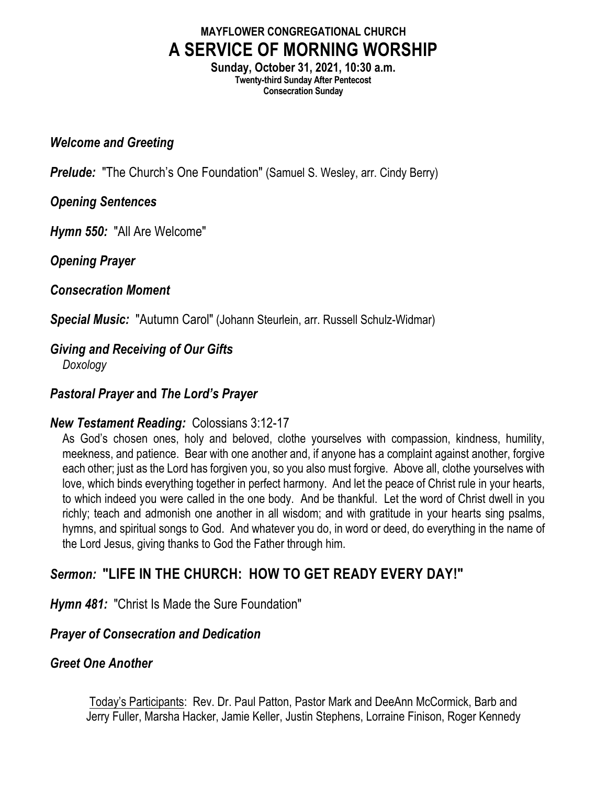# **MAYFLOWER CONGREGATIONAL CHURCH A SERVICE OF MORNING WORSHIP**

**Sunday, October 31, 2021, 10:30 a.m. Twenty-third Sunday After Pentecost Consecration Sunday**

#### *Welcome and Greeting*

*Prelude:* "The Church's One Foundation" (Samuel S. Wesley, arr. Cindy Berry)

#### *Opening Sentences*

*Hymn 550:* "All Are Welcome"

*Opening Prayer*

#### *Consecration Moment*

*Special Music:* "Autumn Carol" (Johann Steurlein, arr. Russell Schulz-Widmar)

# *Giving and Receiving of Our Gifts*

*Doxology*

## *Pastoral Prayer* **and** *The Lord's Prayer*

## *New Testament Reading:* Colossians 3:12-17

As God's chosen ones, holy and beloved, clothe yourselves with compassion, kindness, humility, meekness, and patience. Bear with one another and, if anyone has a complaint against another, forgive each other; just as the Lord has forgiven you, so you also must forgive. Above all, clothe yourselves with love, which binds everything together in perfect harmony. And let the peace of Christ rule in your hearts, to which indeed you were called in the one body. And be thankful. Let the word of Christ dwell in you richly; teach and admonish one another in all wisdom; and with gratitude in your hearts sing psalms, hymns, and spiritual songs to God. And whatever you do, in word or deed, do everything in the name of the Lord Jesus, giving thanks to God the Father through him.

# *Sermon:* **"LIFE IN THE CHURCH: HOW TO GET READY EVERY DAY!"**

*Hymn 481:* "Christ Is Made the Sure Foundation"

## *Prayer of Consecration and Dedication*

## *Greet One Another*

Today's Participants: Rev. Dr. Paul Patton, Pastor Mark and DeeAnn McCormick, Barb and Jerry Fuller, Marsha Hacker, Jamie Keller, Justin Stephens, Lorraine Finison, Roger Kennedy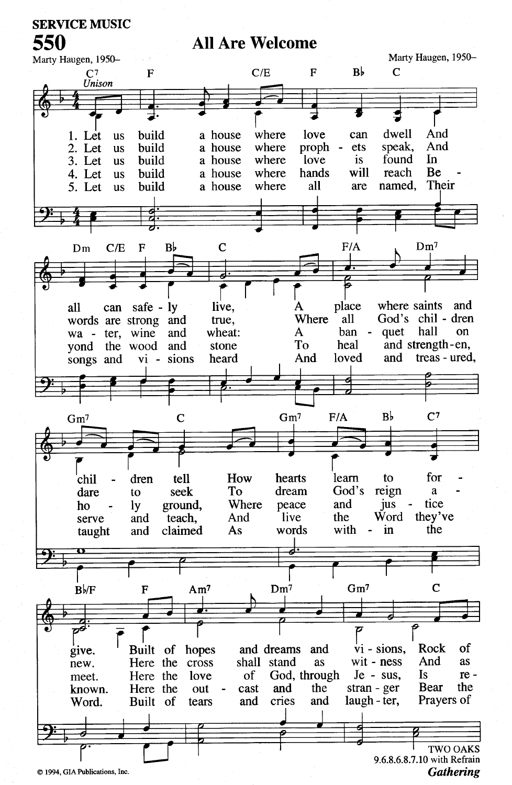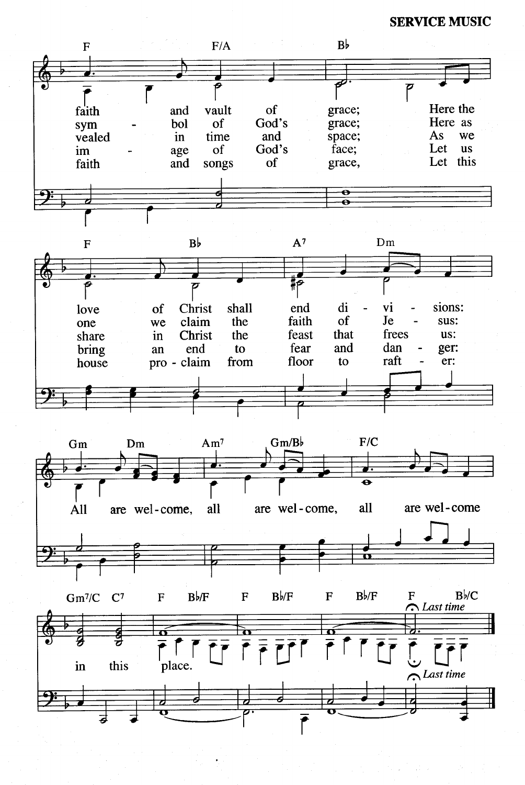**SERVICE MUSIC**